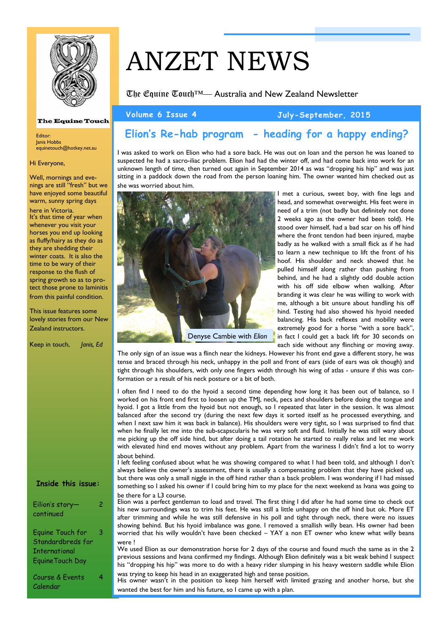

## **The Equine Touch**

Editor: Janis Hobbs equinetouch@hotkey.net.au

#### Hi Everyone,

Well, mornings and evenings are still "fresh" but we have enjoyed some beautiful warm, sunny spring days

here in Victoria. It's that time of year when whenever you visit your horses you end up looking as fluffy/hairy as they do as they are shedding their winter coats. It is also the time to be wary of their response to the flush of spring growth so as to protect those prone to laminitis from this painful condition.

This issue features some lovely stories from our New Zealand instructors.

Keep in touch, *Janis, Ed*

#### **Inside this issue:**

 $\overline{2}$ 

3

4

Eilion's story continued

Equine Touch for Standardbreds for International EquineTouch Day

Course & Events Calendar

# ANZET NEWS

The Equine Touch™— Australia and New Zealand Newsletter

#### **Volume 6 Issue 4 July-September, 2015**

# **Elion's Re-hab program - heading for a happy ending?**

I was asked to work on Elion who had a sore back. He was out on loan and the person he was loaned to suspected he had a sacro-iliac problem. Elion had had the winter off, and had come back into work for an unknown length of time, then turned out again in September 2014 as was "dropping his hip" and was just sitting in a paddock down the road from the person loaning him. The owner wanted him checked out as she was worried about him.



I met a curious, sweet boy, with fine legs and head, and somewhat overweight. His feet were in need of a trim (not badly but definitely not done 2 weeks ago as the owner had been told). He stood over himself, had a bad scar on his off hind where the front tendon had been injured, maybe badly as he walked with a small flick as if he had to learn a new technique to lift the front of his hoof. His shoulder and neck showed that he pulled himself along rather than pushing from behind, and he had a slightly odd double action with his off side elbow when walking. After branding it was clear he was willing to work with me, although a bit unsure about handling his off hind. Testing had also showed his hyoid needed balancing. His back reflexes and mobility were extremely good for a horse "with a sore back", in fact I could get a back lift for 30 seconds on each side without any flinching or moving away.

The only sign of an issue was a flinch near the kidneys. However his front end gave a different story, he was tense and braced through his neck, unhappy in the poll and front of ears (side of ears was ok though) and tight through his shoulders, with only one fingers width through his wing of atlas - unsure if this was conformation or a result of his neck posture or a bit of both.

I often find I need to do the hyoid a second time depending how long it has been out of balance, so I worked on his front end first to loosen up the TMJ, neck, pecs and shoulders before doing the tongue and hyoid. I got a little from the hyoid but not enough, so I repeated that later in the session. It was almost balanced after the second try (during the next few days it sorted itself as he processed everything, and when I next saw him it was back in balance). His shoulders were very tight, so I was surprised to find that when he finally let me into the sub-scapscularis he was very soft and fluid. Initially he was still wary about me picking up the off side hind, but after doing a tail rotation he started to really relax and let me work with elevated hind end moves without any problem. Apart from the wariness I didn't find a lot to worry about behind.

I left feeling confused about what he was showing compared to what I had been told, and although I don't always believe the owner's assessment, there is usually a compensating problem that they have picked up, but there was only a small niggle in the off hind rather than a back problem. I was wondering if I had missed something so I asked his owner if I could bring him to my place for the next weekend as Ivana was going to be there for a L3 course.

Elion was a perfect gentleman to load and travel. The first thing I did after he had some time to check out his new surroundings was to trim his feet. He was still a little unhappy on the off hind but ok. More ET after trimming and while he was still defensive in his poll and tight through neck, there were no issues showing behind. But his hyoid imbalance was gone. I removed a smallish willy bean. His owner had been worried that his willy wouldn't have been checked – YAY a non ET owner who knew what willy beans were !

We used Elion as our demonstration horse for 2 days of the course and found much the same as in the 2 previous sessions and Ivana confirmed my findings. Although Elion definitely was a bit weak behind I suspect his "dropping his hip" was more to do with a heavy rider slumping in his heavy western saddle while Elion

was trying to keep his head in an exaggerated high and tense position. His owner wasn't in the position to keep him herself with limited grazing and another horse, but she wanted the best for him and his future, so I came up with a plan.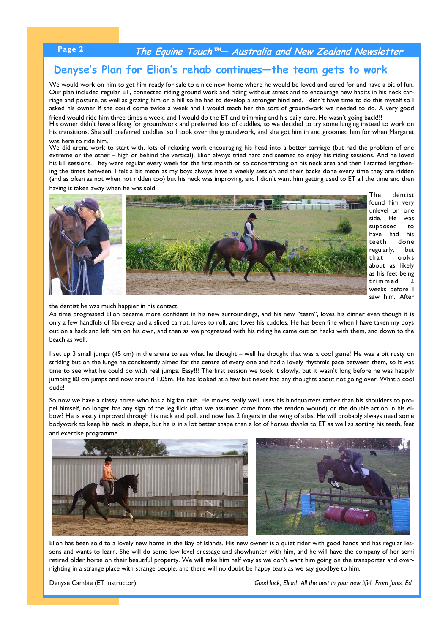### **Page 2 The Equine Touch™— Australia and New Zealand Newsletter**

## **Denyse's Plan for Elion's rehab continues—the team gets to work**

We would work on him to get him ready for sale to a nice new home where he would be loved and cared for and have a bit of fun. Our plan included regular ET, connected riding ground work and riding without stress and to encourage new habits in his neck carriage and posture, as well as grazing him on a hill so he had to develop a stronger hind end. I didn't have time to do this myself so I asked his owner if she could come twice a week and I would teach her the sort of groundwork we needed to do. A very good

friend would ride him three times a week, and I would do the ET and trimming and his daily care. He wasn't going back!!! His owner didn't have a liking for groundwork and preferred lots of cuddles, so we decided to try some lunging instead to work on his transitions. She still preferred cuddles, so I took over the groundwork, and she got him in and groomed him for when Margaret was here to ride him.

We did arena work to start with, lots of relaxing work encouraging his head into a better carriage (but had the problem of one extreme or the other – high or behind the vertical). Elion always tried hard and seemed to enjoy his riding sessions. And he loved his ET sessions. They were regular every week for the first month or so concentrating on his neck area and then I started lengthening the times between. I felt a bit mean as my boys always have a weekly session and their backs done every time they are ridden (and as often as not when not ridden too) but his neck was improving, and I didn't want him getting used to ET all the time and then

having it taken away when he was sold.



The dentist found him very unlevel on one side. He was supposed to have had his teeth done regularly, but that looks about as likely as his feet being trimmed 2 weeks before I saw him. After

the dentist he was much happier in his contact.

As time progressed Elion became more confident in his new surroundings, and his new "team", loves his dinner even though it is only a few handfuls of fibre-ezy and a sliced carrot, loves to roll, and loves his cuddles. He has been fine when I have taken my boys out on a hack and left him on his own, and then as we progressed with his riding he came out on hacks with them, and down to the beach as well.

I set up 3 small jumps (45 cm) in the arena to see what he thought – well he thought that was a cool game! He was a bit rusty on striding but on the lunge he consistently aimed for the centre of every one and had a lovely rhythmic pace between them, so it was time to see what he could do with real jumps. Easy!!! The first session we took it slowly, but it wasn't long before he was happily jumping 80 cm jumps and now around 1.05m. He has looked at a few but never had any thoughts about not going over. What a cool dude!

So now we have a classy horse who has a big fan club. He moves really well, uses his hindquarters rather than his shoulders to propel himself, no longer has any sign of the leg flick (that we assumed came from the tendon wound) or the double action in his elbow? He is vastly improved through his neck and poll, and now has 2 fingers in the wing of atlas. He will probably always need some bodywork to keep his neck in shape, but he is in a lot better shape than a lot of horses thanks to ET as well as sorting his teeth, feet and exercise programme.



Elion has been sold to a lovely new home in the Bay of Islands. His new owner is a quiet rider with good hands and has regular lessons and wants to learn. She will do some low level dressage and showhunter with him, and he will have the company of her semi retired older horse on their beautiful property. We will take him half way as we don't want him going on the transporter and overnighting in a strange place with strange people, and there will no doubt be happy tears as we say goodbye to him.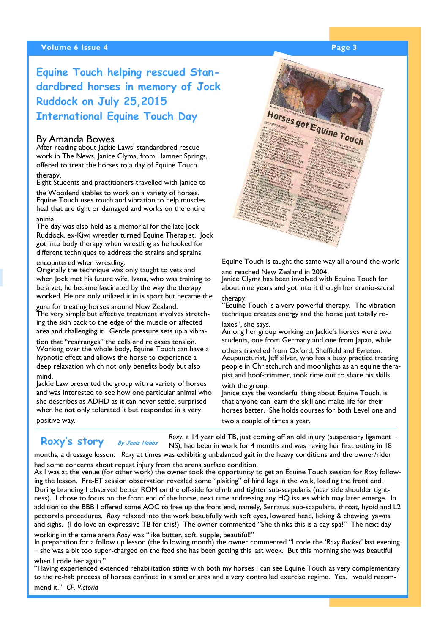#### **Volume 6 Issue 4 Page 3 According to the Contract of the Contract of Page 3**

# **Equine Touch helping rescued Standardbred horses in memory of Jock Ruddock on July 25,2015 International Equine Touch Day**

#### By Amanda Bowes

After reading about lackie Laws' standardbred rescue work in The News, Janice Clyma, from Hamner Springs, offered to treat the horses to a day of Equine Touch therapy.

Eight Students and practitioners travelled with Janice to the Woodend stables to work on a variety of horses. Equine Touch uses touch and vibration to help muscles heal that are tight or damaged and works on the entire animal.

The day was also held as a memorial for the late Jock Ruddock, ex-Kiwi wrestler turned Equine Therapist. Jock got into body therapy when wrestling as he looked for different techniques to address the strains and sprains

## encountered when wrestling.

Originally the technique was only taught to vets and when Jock met his future wife, Ivana, who was training to be a vet, he became fascinated by the way the therapy worked. He not only utilized it in is sport but became the

guru for treating horses around New Zealand. The very simple but effective treatment involves stretching the skin back to the edge of the muscle or affected area and challenging it. Gentle pressure sets up a vibra-

tion that "rearranges" the cells and releases tension. Working over the whole body, Equine Touch can have a hypnotic effect and allows the horse to experience a deep relaxation which not only benefits body but also mind.

Jackie Law presented the group with a variety of horses and was interested to see how one particular animal who she describes as ADHD as it can never settle, surprised when he not only tolerated it but responded in a very positive way.

 **Roxy's story By Janis Hobbs**

*Roxy*, a 14 year old TB, just coming off an old injury (suspensory ligament – NS), had been in work for 4 months and was having her first outing in 18

months, a dressage lesson. *Roxy* at times was exhibiting unbalanced gait in the heavy conditions and the owner/rider had some concerns about repeat injury from the arena surface condition.

As I was at the venue (for other work) the owner took the opportunity to get an Equine Touch session for *Roxy* following the lesson. Pre-ET session observation revealed some "plaiting" of hind legs in the walk, loading the front end. During branding I observed better ROM on the off-side forelimb and tighter sub-scapularis (near side shoulder tightness). I chose to focus on the front end of the horse, next time addressing any HQ issues which may later emerge. In addition to the BBB I offered some AOC to free up the front end, namely, Serratus, sub-scapularis, throat, hyoid and L2 pectoralis procedures. *Roxy* relaxed into the work beautifully with soft eyes, lowered head, licking & chewing, yawns and sighs. (I do love an expressive TB for this!) The owner commented "She thinks this is a day spa!" The next day

working in the same arena *Roxy* was "like butter, soft, supple, beautiful!"

In preparation for a follow up lesson (the following month) the owner commented "I rode the '*Roxy Rocket'* last evening – she was a bit too super-charged on the feed she has been getting this last week. But this morning she was beautiful when I rode her again."

"Having experienced extended rehabilitation stints with both my horses I can see Equine Touch as very complementary to the re-hab process of horses confined in a smaller area and a very controlled exercise regime. Yes, I would recommend it." *CF, Victoria*



Equine Touch is taught the same way all around the world and reached New Zealand in 2004.

Janice Clyma has been involved with Equine Touch for about nine years and got into it though her cranio-sacral therany

"Equine Touch is a very powerful therapy. The vibration technique creates energy and the horse just totally relaxes", she says.

Among her group working on Jackie's horses were two students, one from Germany and one from Japan, while

others travelled from Oxford, Sheffield and Eyreton. Acupuncturist, Jeff silver, who has a busy practice treating people in Christchurch and moonlights as an equine therapist and hoof-trimmer, took time out to share his skills with the group.

Janice says the wonderful thing about Equine Touch, is that anyone can learn the skill and make life for their horses better. She holds courses for both Level one and two a couple of times a year.